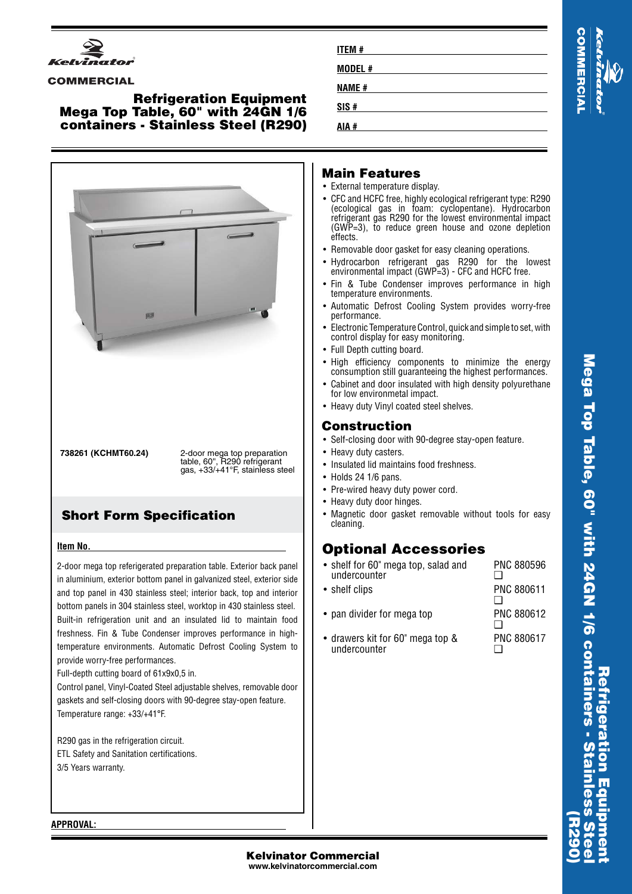

### **COMMERCIAL**

### **Refrigeration Equipment Mega Top Table, 60" with 24GN 1/6 containers - Stainless Steel (R290)**



# **Short Form Specification**

### **Item No.**

2-door mega top referigerated preparation table. Exterior back panel in aluminium, exterior bottom panel in galvanized steel, exterior side and top panel in 430 stainless steel; interior back, top and interior bottom panels in 304 stainless steel, worktop in 430 stainless steel. Built-in refrigeration unit and an insulated lid to maintain food freshness. Fin & Tube Condenser improves performance in hightemperature environments. Automatic Defrost Cooling System to provide worry-free performances.

Full-depth cutting board of 61x9x0,5 in.

Control panel, Vinyl-Coated Steel adjustable shelves, removable door gaskets and self-closing doors with 90-degree stay-open feature. Temperature range: +33/+41°F.

R290 gas in the refrigeration circuit. ETL Safety and Sanitation certifications. 3/5 Years warranty.

| ITEM # |  |
|--------|--|
| MODEL# |  |
| NAME # |  |
| SIS#   |  |
| AIA #  |  |

# **COMMERCIA**

## **Main Features**

- External temperature display.
- CFC and HCFC free, highly ecological refrigerant type: R290 (ecological gas in foam: cyclopentane). Hydrocarbon refrigerant gas R290 for the lowest environmental impact (GWP=3), to reduce green house and ozone depletion effects.
- •Removable door gasket for easy cleaning operations.
- •• Hydrocarbon refrigerant gas R290 for the lowest environmental impact (GWP=3) - CFC and HCFC free.
- Fin & Tube Condenser improves performance in high temperature environments.
- • Automatic Defrost Cooling System provides worry-free performance.
- • Electronic Temperature Control, quick and simple to set, with control display for easy monitoring.
- Full Depth cutting board.
- High efficiency components to minimize the energy consumption still guaranteeing the highest performances.
- • Cabinet and door insulated with high density polyurethane for low environmetal impact.
- Heavy duty Vinyl coated steel shelves.

# **Construction**

- Self-closing door with 90-degree stay-open feature.
- Heavy duty casters.
- Insulated lid maintains food freshness.
- Holds 24 1/6 pans.
- Pre-wired heavy duty power cord.
- Heavy duty door hinges.
- Magnetic door gasket removable without tools for easy cleaning.

# **Optional Accessories**

• shelf for 60" mega top, salad and undercounter PNC 880596  $\Box$ 

| • shelf clips                                    | PNC 880611        |
|--------------------------------------------------|-------------------|
| • pan divider for mega top                       | <b>PNC 880612</b> |
| • drawers kit for 60" mega top &<br>undercounter | <b>PNC 880617</b> |

**APPROVAL:**